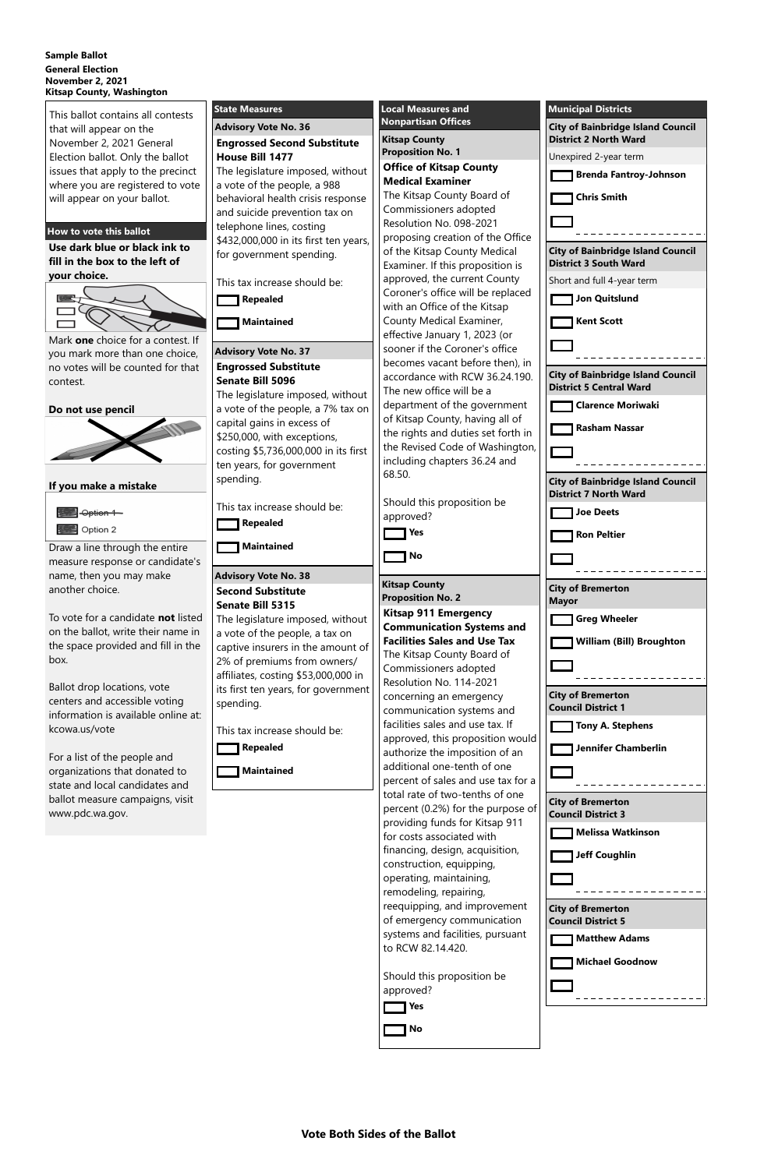### **Vote Both Sides of the Ballot**

### **Sample Ballot General Election November 2, 2021 Kitsap County, Washington**

This ballot contains all contests that will appear on the November 2, 2021 General Election ballot. Only the ballot issues that apply to the precinct where you are registered to vote will appear on your ballot.

# **How to vote this ballot**

**Use dark blue or black ink to fill in the box to the left of your choice.**



Mark **one** choice for a contest. If you mark more than one choice, no votes will be counted for that contest.

**Do not use pencil**



**If you make a mistake**



Draw a line through the entire measure response or candidate's name, then you may make another choice.

To vote for a candidate **not** listed on the ballot, write their name in the space provided and fill in the box.

Ballot drop locations, vote centers and accessible voting information is available online at: kcowa.us/vote

For a list of the people and organizations that donated to state and local candidates and ballot measure campaigns, visit www.pdc.wa.gov.

| <b>State Measures</b>                                                      | <b>Local Measures and</b>                                               | <b>Municipal Districts</b>                                               |
|----------------------------------------------------------------------------|-------------------------------------------------------------------------|--------------------------------------------------------------------------|
| <b>Advisory Vote No. 36</b>                                                | <b>Nonpartisan Offices</b>                                              | <b>City of Bainbridge Island Council</b>                                 |
| <b>Engrossed Second Substitute</b>                                         | <b>Kitsap County</b>                                                    | <b>District 2 North Ward</b>                                             |
| <b>House Bill 1477</b>                                                     | <b>Proposition No. 1</b>                                                | Unexpired 2-year term                                                    |
| The legislature imposed, without                                           | <b>Office of Kitsap County</b>                                          | <b>Brenda Fantroy-Johnson</b>                                            |
| a vote of the people, a 988                                                | <b>Medical Examiner</b>                                                 |                                                                          |
| behavioral health crisis response                                          | The Kitsap County Board of<br>Commissioners adopted                     | <b>Chris Smith</b>                                                       |
| and suicide prevention tax on                                              | Resolution No. 098-2021                                                 |                                                                          |
| telephone lines, costing<br>\$432,000,000 in its first ten years,          | proposing creation of the Office                                        |                                                                          |
| for government spending.                                                   | of the Kitsap County Medical<br>Examiner. If this proposition is        | <b>City of Bainbridge Island Council</b><br><b>District 3 South Ward</b> |
| This tax increase should be:                                               | approved, the current County                                            | Short and full 4-year term                                               |
| <b>Repealed</b>                                                            | Coroner's office will be replaced                                       | Jon Quitslund                                                            |
|                                                                            | with an Office of the Kitsap                                            |                                                                          |
| <b>Maintained</b>                                                          | County Medical Examiner,                                                | <b>Kent Scott</b>                                                        |
|                                                                            | effective January 1, 2023 (or<br>sooner if the Coroner's office         |                                                                          |
| <b>Advisory Vote No. 37</b>                                                | becomes vacant before then), in                                         |                                                                          |
| <b>Engrossed Substitute</b><br><b>Senate Bill 5096</b>                     | accordance with RCW 36.24.190.                                          | <b>City of Bainbridge Island Council</b>                                 |
| The legislature imposed, without                                           | The new office will be a                                                | <b>District 5 Central Ward</b>                                           |
| a vote of the people, a 7% tax on                                          | department of the government                                            | <b>Clarence Moriwaki</b>                                                 |
| capital gains in excess of                                                 | of Kitsap County, having all of                                         | <b>Rasham Nassar</b>                                                     |
| \$250,000, with exceptions,                                                | the rights and duties set forth in<br>the Revised Code of Washington,   |                                                                          |
| costing \$5,736,000,000 in its first                                       | including chapters 36.24 and                                            |                                                                          |
| ten years, for government<br>spending.                                     | 68.50.                                                                  |                                                                          |
|                                                                            |                                                                         | <b>City of Bainbridge Island Council</b><br><b>District 7 North Ward</b> |
| This tax increase should be:                                               | Should this proposition be                                              | <b>Joe Deets</b>                                                         |
| Repealed                                                                   | approved?                                                               |                                                                          |
|                                                                            | <b>Yes</b>                                                              | <b>Ron Peltier</b>                                                       |
| <b>Maintained</b>                                                          | No                                                                      |                                                                          |
| <b>Advisory Vote No. 38</b>                                                |                                                                         |                                                                          |
| <b>Second Substitute</b>                                                   | <b>Kitsap County</b>                                                    | <b>City of Bremerton</b>                                                 |
| <b>Senate Bill 5315</b>                                                    | <b>Proposition No. 2</b>                                                | <b>Mayor</b>                                                             |
| The legislature imposed, without                                           | <b>Kitsap 911 Emergency</b>                                             | <b>Greg Wheeler</b>                                                      |
| a vote of the people, a tax on                                             | <b>Communication Systems and</b><br><b>Facilities Sales and Use Tax</b> | <b>William (Bill) Broughton</b>                                          |
| captive insurers in the amount of                                          | The Kitsap County Board of                                              |                                                                          |
| 2% of premiums from owners/                                                | Commissioners adopted                                                   |                                                                          |
| affiliates, costing \$53,000,000 in<br>its first ten years, for government | Resolution No. 114-2021                                                 |                                                                          |
| spending.                                                                  | concerning an emergency                                                 | <b>City of Bremerton</b>                                                 |
|                                                                            | communication systems and                                               | <b>Council District 1</b>                                                |
| This tax increase should be:                                               | facilities sales and use tax. If                                        | <b>Tony A. Stephens</b>                                                  |
| <b>Repealed</b>                                                            | approved, this proposition would<br>authorize the imposition of an      | <b>Jennifer Chamberlin</b>                                               |
|                                                                            | additional one-tenth of one                                             |                                                                          |
| <b>Maintained</b>                                                          | percent of sales and use tax for a                                      |                                                                          |
|                                                                            | total rate of two-tenths of one                                         |                                                                          |
|                                                                            | percent (0.2%) for the purpose of                                       | <b>City of Bremerton</b><br><b>Council District 3</b>                    |
|                                                                            | providing funds for Kitsap 911                                          |                                                                          |

for costs associated with financing, design, acquisition,

construction, equipping, operating, maintaining, remodeling, repairing, reequipping, and improvement of emergency communication systems and facilities, pursuant to RCW 82.14.420.

Should this proposition be approved?

|  | 1 Yes |  |
|--|-------|--|
|  | 1 No  |  |

**Melissa Watkinson**

**Jeff Coughlin**

| <b>City of Bremerton</b><br><b>Council District 5</b> |
|-------------------------------------------------------|
| <b>Matthew Adams</b>                                  |
| <b>Michael Goodnow</b>                                |
|                                                       |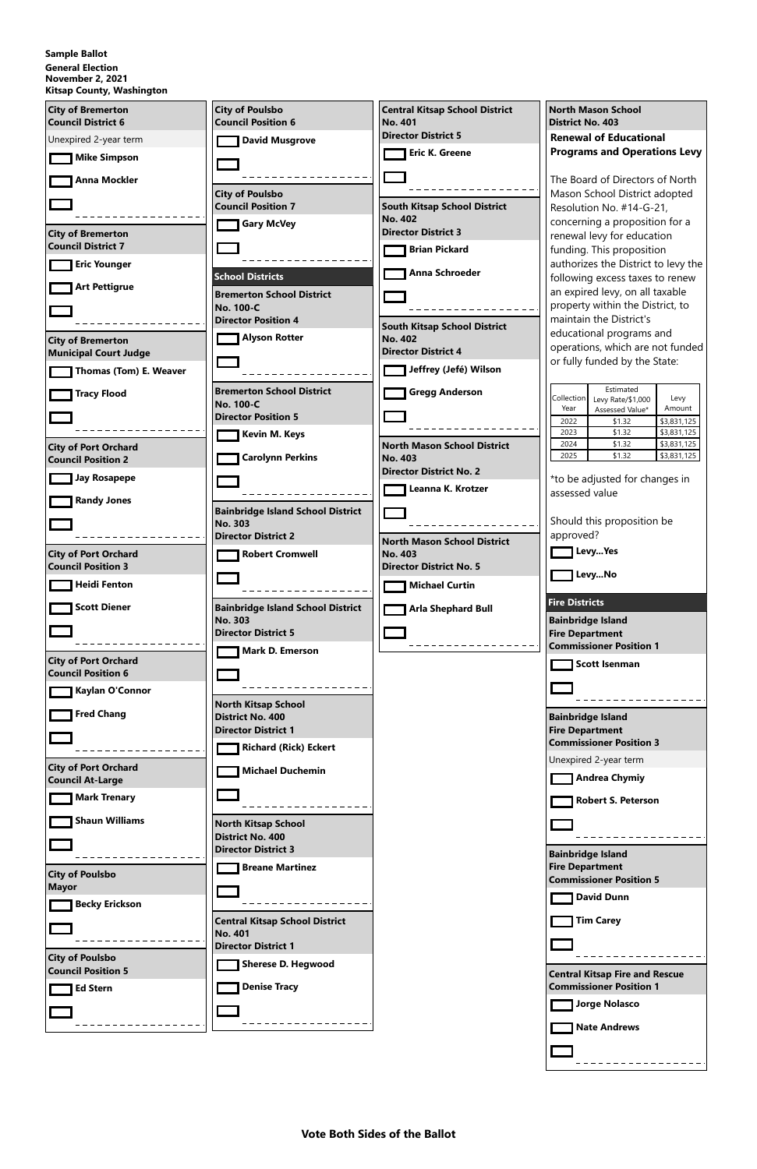**Vote Both Sides of the Ballot**

## **Sample Ballot**

# **General Election**

**November 2, 2021 Kitsap County, Washington**

| <b>City of Bremerton</b><br><b>Council District 6</b>    | <b>City of Poulsbo</b><br><b>Council Position 6</b>        | <b>Central Kitsap School District</b><br><b>No. 401</b> | <b>North Mason School</b><br><b>District No. 403</b>                         |
|----------------------------------------------------------|------------------------------------------------------------|---------------------------------------------------------|------------------------------------------------------------------------------|
| Unexpired 2-year term                                    | <b>David Musgrove</b>                                      | <b>Director District 5</b>                              | <b>Renewal of Educational</b>                                                |
| <b>Mike Simpson</b>                                      |                                                            | <b>Eric K. Greene</b>                                   | <b>Programs and Operations Levy</b>                                          |
|                                                          |                                                            |                                                         |                                                                              |
| <b>Anna Mockler</b>                                      | <b>City of Poulsbo</b>                                     |                                                         | The Board of Directors of North<br>Mason School District adopted             |
|                                                          | <b>Council Position 7</b>                                  | <b>South Kitsap School District</b>                     | Resolution No. #14-G-21,                                                     |
|                                                          | <b>Gary McVey</b>                                          | <b>No. 402</b><br><b>Director District 3</b>            | concerning a proposition for a                                               |
| <b>City of Bremerton</b><br><b>Council District 7</b>    |                                                            | <b>Brian Pickard</b>                                    | renewal levy for education<br>funding. This proposition                      |
| <b>Eric Younger</b>                                      |                                                            |                                                         | authorizes the District to levy the                                          |
| <b>Art Pettigrue</b>                                     | <b>School Districts</b>                                    | Anna Schroeder                                          | following excess taxes to renew                                              |
|                                                          | <b>Bremerton School District</b>                           |                                                         | an expired levy, on all taxable<br>property within the District, to          |
|                                                          | <b>No. 100-C</b><br><b>Director Position 4</b>             |                                                         | maintain the District's                                                      |
| <b>City of Bremerton</b>                                 | <b>Alyson Rotter</b>                                       | <b>South Kitsap School District</b><br><b>No. 402</b>   | educational programs and                                                     |
| <b>Municipal Court Judge</b>                             |                                                            | <b>Director District 4</b>                              | operations, which are not funded                                             |
| Thomas (Tom) E. Weaver                                   |                                                            | Jeffrey (Jefé) Wilson                                   | or fully funded by the State:                                                |
|                                                          | <b>Bremerton School District</b>                           | <b>Gregg Anderson</b>                                   | Estimated                                                                    |
| <b>Tracy Flood</b>                                       | <b>No. 100-C</b>                                           |                                                         | Collection<br>Levy<br>Levy Rate/\$1,000<br>Year<br>Amount<br>Assessed Value* |
|                                                          | <b>Director Position 5</b>                                 |                                                         | \$3,831,125<br>2022<br>\$1.32                                                |
|                                                          | <b>Kevin M. Keys</b>                                       | <b>North Mason School District</b>                      | \$1.32<br>\$3,831,125<br>2023<br>\$3,831,125<br>2024<br>\$1.32               |
| <b>City of Port Orchard</b><br><b>Council Position 2</b> | <b>Carolynn Perkins</b>                                    | <b>No. 403</b>                                          | \$3,831,125<br>2025<br>\$1.32                                                |
| <b>Jay Rosapepe</b>                                      |                                                            | <b>Director District No. 2</b>                          | *to be adjusted for changes in                                               |
|                                                          |                                                            | Leanna K. Krotzer                                       | assessed value                                                               |
| <b>Randy Jones</b>                                       | <b>Bainbridge Island School District</b>                   |                                                         |                                                                              |
|                                                          | No. 303                                                    |                                                         | Should this proposition be                                                   |
|                                                          | <b>Director District 2</b>                                 | North Mason School District                             | approved?<br>LevyYes                                                         |
| <b>City of Port Orchard</b><br><b>Council Position 3</b> | <b>Robert Cromwell</b>                                     | <b>No. 403</b><br><b>Director District No. 5</b>        |                                                                              |
| <b>Heidi Fenton</b>                                      |                                                            | <b>Michael Curtin</b>                                   | LevyNo                                                                       |
|                                                          |                                                            |                                                         | <b>Fire Districts</b>                                                        |
| <b>Scott Diener</b>                                      | <b>Bainbridge Island School District</b><br><b>No. 303</b> | <b>Arla Shephard Bull</b>                               | <b>Bainbridge Island</b>                                                     |
|                                                          | <b>Director District 5</b>                                 |                                                         | <b>Fire Department</b>                                                       |
|                                                          | <b>Mark D. Emerson</b>                                     |                                                         | <b>Commissioner Position 1</b>                                               |
| <b>City of Port Orchard</b><br><b>Council Position 6</b> |                                                            |                                                         | <b>Scott Isenman</b>                                                         |
| Kaylan O'Connor                                          |                                                            |                                                         |                                                                              |
|                                                          | <b>North Kitsap School</b>                                 |                                                         |                                                                              |
| <b>Fred Chang</b>                                        | <b>District No. 400</b><br><b>Director District 1</b>      |                                                         | <b>Bainbridge Island</b>                                                     |
|                                                          |                                                            |                                                         | <b>Fire Department</b><br><b>Commissioner Position 3</b>                     |
|                                                          | <b>Richard (Rick) Eckert</b>                               |                                                         | Unexpired 2-year term                                                        |
| <b>City of Port Orchard</b><br><b>Council At-Large</b>   | <b>Michael Duchemin</b>                                    |                                                         | <b>Andrea Chymiy</b>                                                         |
| <b>Mark Trenary</b>                                      |                                                            |                                                         | <b>Robert S. Peterson</b>                                                    |
|                                                          |                                                            |                                                         |                                                                              |
| <b>Shaun Williams</b>                                    | <b>North Kitsap School</b><br><b>District No. 400</b>      |                                                         |                                                                              |
|                                                          | <b>Director District 3</b>                                 |                                                         | <b>Bainbridge Island</b>                                                     |
|                                                          | <b>Breane Martinez</b>                                     |                                                         | <b>Fire Department</b>                                                       |
| <b>City of Poulsbo</b><br><b>Mayor</b>                   |                                                            |                                                         | <b>Commissioner Position 5</b>                                               |
| <b>Becky Erickson</b>                                    |                                                            |                                                         | <b>David Dunn</b>                                                            |
|                                                          | <b>Central Kitsap School District</b>                      |                                                         | <b>Tim Carey</b>                                                             |
|                                                          | <b>No. 401</b>                                             |                                                         |                                                                              |
| <b>City of Poulsbo</b>                                   | <b>Director District 1</b>                                 |                                                         |                                                                              |
| <b>Council Position 5</b>                                | <b>Sherese D. Hegwood</b>                                  |                                                         | <b>Central Kitsap Fire and Rescue</b>                                        |
| <b>Ed Stern</b>                                          | <b>Denise Tracy</b>                                        |                                                         | <b>Commissioner Position 1</b>                                               |
|                                                          |                                                            |                                                         | <b>Jorge Nolasco</b>                                                         |
|                                                          |                                                            |                                                         | <b>Nate Andrews</b>                                                          |
|                                                          |                                                            |                                                         |                                                                              |
|                                                          |                                                            |                                                         |                                                                              |